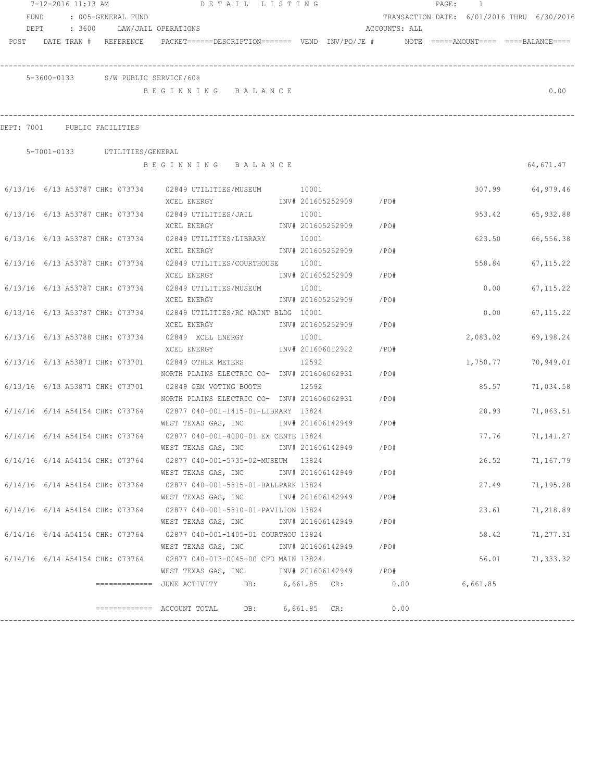| 7-12-2016 11:13 AM<br>: 005-GENERAL FUND<br>FUND |  |  | DETAIL LISTING                     |                                                                                                                 |       |                        | PAGE:<br>$\overline{1}$ |                                            |          |        |                 |
|--------------------------------------------------|--|--|------------------------------------|-----------------------------------------------------------------------------------------------------------------|-------|------------------------|-------------------------|--------------------------------------------|----------|--------|-----------------|
|                                                  |  |  |                                    |                                                                                                                 |       |                        |                         | TRANSACTION DATE: 6/01/2016 THRU 6/30/2016 |          |        |                 |
|                                                  |  |  | DEPT : 3600 LAW/JAIL OPERATIONS    |                                                                                                                 |       |                        |                         | ACCOUNTS: ALL                              |          |        |                 |
|                                                  |  |  |                                    | POST DATE TRAN # REFERENCE PACKET======DESCRIPTION======= VEND INV/PO/JE # NOTE =====AMOUNT==== ====BALANCE==== |       |                        |                         |                                            |          |        |                 |
|                                                  |  |  |                                    |                                                                                                                 |       |                        |                         |                                            |          |        |                 |
|                                                  |  |  | 5-3600-0133 S/W PUBLIC SERVICE/60% |                                                                                                                 |       |                        |                         |                                            |          |        |                 |
|                                                  |  |  |                                    | BEGINNING BALANCE                                                                                               |       |                        |                         |                                            |          |        | 0.00            |
|                                                  |  |  | DEPT: 7001 PUBLIC FACILITIES       |                                                                                                                 |       |                        |                         |                                            |          |        |                 |
|                                                  |  |  | 5-7001-0133 UTILITIES/GENERAL      |                                                                                                                 |       |                        |                         |                                            |          |        |                 |
|                                                  |  |  |                                    | BEGINNING BALANCE                                                                                               |       |                        |                         |                                            |          |        | 64,671.47       |
|                                                  |  |  |                                    |                                                                                                                 |       |                        |                         |                                            |          |        |                 |
|                                                  |  |  |                                    | 6/13/16 6/13 A53787 CHK: 073734 02849 UTILITIES/MUSEUM 10001                                                    |       |                        |                         |                                            | 307.99   |        | 64,979.46       |
|                                                  |  |  |                                    | XCEL ENERGY                                                                                                     |       | INV# 201605252909 /PO# |                         |                                            |          |        |                 |
|                                                  |  |  | 6/13/16 6/13 A53787 CHK: 073734    | 02849 UTILITIES/JAIL                                                                                            | 10001 |                        |                         |                                            | 953.42   |        | 65,932.88       |
|                                                  |  |  |                                    | XCEL ENERGY                                                                                                     |       | INV# 201605252909 /PO# |                         |                                            |          |        |                 |
|                                                  |  |  | 6/13/16 6/13 A53787 CHK: 073734    | 02849 UTILITIES/LIBRARY 10001                                                                                   |       |                        |                         |                                            |          | 623.50 | 66,556.38       |
|                                                  |  |  |                                    | XCEL ENERGY                                                                                                     |       | INV# 201605252909      | / PO#                   |                                            |          |        |                 |
|                                                  |  |  | 6/13/16 6/13 A53787 CHK: 073734    | 02849 UTILITIES/COURTHOUSE 10001                                                                                |       |                        |                         |                                            |          | 558.84 | 67, 115.22      |
|                                                  |  |  |                                    | XCEL ENERGY                                                                                                     |       | INV# 201605252909      | / PO#                   |                                            |          |        |                 |
|                                                  |  |  | 6/13/16 6/13 A53787 CHK: 073734    | 02849 UTILITIES/MUSEUM                                                                                          | 10001 |                        |                         |                                            | 0.00     |        | 67, 115.22      |
|                                                  |  |  |                                    | XCEL ENERGY                                                                                                     |       | INV# 201605252909      | $/$ PO#                 |                                            |          |        |                 |
|                                                  |  |  | 6/13/16 6/13 A53787 CHK: 073734    | 02849 UTILITIES/RC MAINT BLDG 10001                                                                             |       |                        |                         |                                            | 0.00     |        | 67, 115.22      |
|                                                  |  |  |                                    | XCEL ENERGY                                                                                                     |       | INV# 201605252909      | /PO#                    |                                            |          |        |                 |
|                                                  |  |  | 6/13/16 6/13 A53788 CHK: 073734    | 02849 XCEL ENERGY                                                                                               | 10001 |                        |                         |                                            | 2,083.02 |        | 69,198.24       |
|                                                  |  |  |                                    | XCEL ENERGY                                                                                                     |       | INV# 201606012922      | /PO#                    |                                            |          |        |                 |
|                                                  |  |  | 6/13/16 6/13 A53871 CHK: 073701    | 02849 OTHER METERS                                                                                              | 12592 |                        |                         |                                            | 1,750.77 |        | 70,949.01       |
|                                                  |  |  |                                    | NORTH PLAINS ELECTRIC CO- INV# 201606062931                                                                     |       |                        | /PO#                    |                                            |          |        |                 |
|                                                  |  |  |                                    | 6/13/16 6/13 A53871 CHK: 073701 02849 GEM VOTING BOOTH 12592                                                    |       |                        |                         |                                            |          | 85.57  | 71,034.58       |
|                                                  |  |  |                                    | NORTH PLAINS ELECTRIC CO- INV# 201606062931                                                                     |       |                        | /PO#                    |                                            |          |        |                 |
|                                                  |  |  |                                    | 6/14/16 6/14 A54154 CHK: 073764 02877 040-001-1415-01-LIBRARY 13824                                             |       |                        |                         |                                            |          | 28.93  | 71,063.51       |
|                                                  |  |  |                                    | WEST TEXAS GAS, INC 1NV# 201606142949 / PO#                                                                     |       |                        |                         |                                            |          |        |                 |
|                                                  |  |  |                                    | 6/14/16 6/14 A54154 CHK: 073764 02877 040-001-4000-01 EX CENTE 13824                                            |       |                        |                         |                                            |          | 77.76  | 71,141.27       |
|                                                  |  |  |                                    | WEST TEXAS GAS, INC MONTH 201606142949 / PO#                                                                    |       |                        |                         |                                            |          |        |                 |
|                                                  |  |  |                                    | 6/14/16 6/14 A54154 CHK: 073764 02877 040-001-5735-02-MUSEUM 13824                                              |       |                        |                         |                                            |          | 26.52  | 71,167.79       |
|                                                  |  |  |                                    | WEST TEXAS GAS, INC                                                                                             |       | INV# 201606142949 /PO# |                         |                                            |          |        |                 |
|                                                  |  |  |                                    | 6/14/16 6/14 A54154 CHK: 073764 02877 040-001-5815-01-BALLPARK 13824                                            |       |                        |                         |                                            |          | 27.49  | 71,195.28       |
|                                                  |  |  |                                    | WEST TEXAS GAS, INC        INV# 201606142949      /PO#                                                          |       |                        |                         |                                            |          |        |                 |
|                                                  |  |  |                                    | 6/14/16 6/14 A54154 CHK: 073764 02877 040-001-5810-01-PAVILION 13824                                            |       |                        |                         |                                            |          | 23.61  | 71,218.89       |
|                                                  |  |  |                                    | WEST TEXAS GAS, INC MONTH 201606142949                                                                          |       |                        | /PO#                    |                                            |          |        |                 |
|                                                  |  |  |                                    | 6/14/16 6/14 A54154 CHK: 073764 02877 040-001-1405-01 COURTHOU 13824                                            |       |                        |                         |                                            |          |        | 58.42 71,277.31 |
|                                                  |  |  |                                    | WEST TEXAS GAS, INC MONTH 201606142949 / PO#                                                                    |       |                        |                         |                                            |          |        |                 |
|                                                  |  |  |                                    | 6/14/16 6/14 A54154 CHK: 073764 02877 040-013-0045-00 CFD MAIN 13824                                            |       |                        |                         |                                            |          |        | 56.01 71,333.32 |
|                                                  |  |  |                                    | WEST TEXAS GAS, INC MONTH 201606142949 / PO#                                                                    |       |                        |                         |                                            |          |        |                 |
|                                                  |  |  |                                    | =============    JUNE  ACTIVITY           DB:           6, 661.85     CR:                     0.00              |       |                        |                         |                                            | 6,661.85 |        |                 |
|                                                  |  |  |                                    |                                                                                                                 |       |                        |                         |                                            |          |        |                 |
|                                                  |  |  |                                    | ============ ACCOUNT TOTAL DB: 6,661.85 CR: 0.00                                                                |       |                        |                         |                                            |          |        |                 |
|                                                  |  |  |                                    |                                                                                                                 |       |                        |                         |                                            |          |        |                 |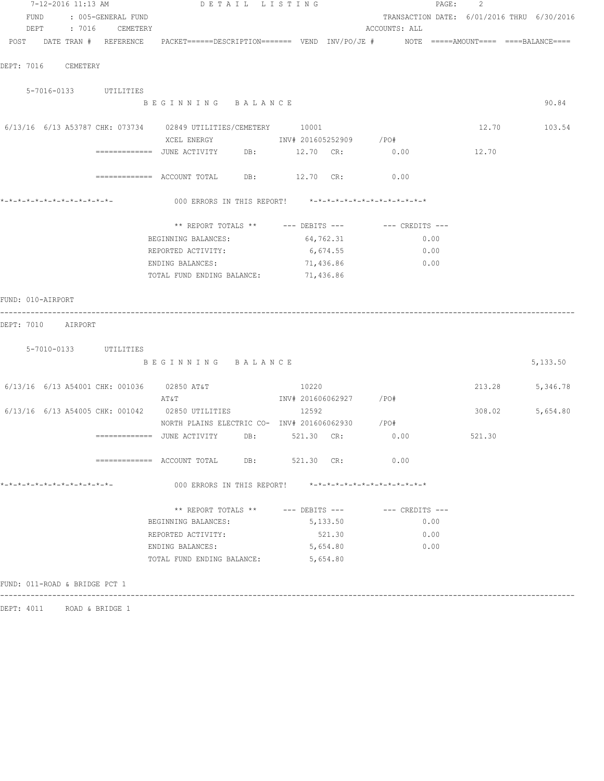| 7-12-2016 11:13 AM                                             | DETAIL LISTING                                                                            |                        | PAGE:                                      | 2      |          |
|----------------------------------------------------------------|-------------------------------------------------------------------------------------------|------------------------|--------------------------------------------|--------|----------|
| FUND<br>: 005-GENERAL FUND                                     |                                                                                           |                        | TRANSACTION DATE: 6/01/2016 THRU 6/30/2016 |        |          |
| DEPT : 7016 CEMETERY                                           |                                                                                           |                        | ACCOUNTS: ALL                              |        |          |
| POST DATE TRAN # REFERENCE                                     | PACKET======DESCRIPTION======= VEND INV/PO/JE #     NOTE =====AMOUNT====  ====BALANCE==== |                        |                                            |        |          |
|                                                                |                                                                                           |                        |                                            |        |          |
| DEPT: 7016<br>CEMETERY                                         |                                                                                           |                        |                                            |        |          |
|                                                                |                                                                                           |                        |                                            |        |          |
| 5-7016-0133 UTILITIES                                          |                                                                                           |                        |                                            |        |          |
|                                                                | BEGINNING BALANCE                                                                         |                        |                                            |        | 90.84    |
|                                                                |                                                                                           |                        |                                            |        |          |
| 6/13/16 6/13 A53787 CHK: 073734 02849 UTILITIES/CEMETERY 10001 |                                                                                           |                        |                                            | 12.70  | 103.54   |
|                                                                |                                                                                           |                        |                                            |        |          |
|                                                                | ============= JUNE ACTIVITY DB:                                                           | 12.70 CR:              | 0.00                                       | 12.70  |          |
|                                                                |                                                                                           |                        |                                            |        |          |
|                                                                | $\texttt{-----}$ ============ ACCOUNT TOTAL DB: $\texttt{12.70}$ CR:                      |                        | 0.00                                       |        |          |
|                                                                |                                                                                           |                        |                                            |        |          |
|                                                                | 000 ERRORS IN THIS REPORT! *-*-*-*-*-*-*-*-*-*-*-*-*-*-                                   |                        |                                            |        |          |
|                                                                |                                                                                           |                        |                                            |        |          |
|                                                                | ** REPORT TOTALS ** --- DEBITS --- -- CREDITS ---                                         |                        |                                            |        |          |
|                                                                | BEGINNING BALANCES:                                                                       | 64,762.31              | 0.00                                       |        |          |
|                                                                | REPORTED ACTIVITY:                                                                        | 6,674.55               | 0.00                                       |        |          |
|                                                                | ENDING BALANCES:                                                                          | 71,436.86              | 0.00                                       |        |          |
|                                                                | TOTAL FUND ENDING BALANCE:                                                                | 71,436.86              |                                            |        |          |
|                                                                |                                                                                           |                        |                                            |        |          |
| FUND: 010-AIRPORT                                              |                                                                                           |                        |                                            |        |          |
|                                                                |                                                                                           |                        |                                            |        |          |
| DEPT: 7010<br>AIRPORT                                          |                                                                                           |                        |                                            |        |          |
|                                                                |                                                                                           |                        |                                            |        |          |
| 5-7010-0133 UTILITIES                                          |                                                                                           |                        |                                            |        |          |
|                                                                | BEGINNING BALANCE                                                                         |                        |                                            |        | 5,133.50 |
|                                                                |                                                                                           |                        |                                            |        |          |
| 6/13/16 6/13 A54001 CHK: 001036 02850 AT&T                     |                                                                                           | 10220                  |                                            | 213.28 | 5,346.78 |
|                                                                | AT&T                                                                                      | INV# 201606062927 /PO# |                                            |        |          |
| 6/13/16 6/13 A54005 CHK: 001042 02850 UTILITIES                |                                                                                           | 12592                  |                                            | 308.02 | 5,654.80 |
|                                                                | NORTH PLAINS ELECTRIC CO- INV# 201606062930 / PO#                                         |                        |                                            |        |          |
|                                                                | $\overline{\phantom{z}}$ ============= JUNE ACTIVITY DB: 521.30 CR:                       |                        | 0.00                                       | 521.30 |          |
|                                                                |                                                                                           |                        |                                            |        |          |
|                                                                | ============= ACCOUNT TOTAL DB: 521.30 CR:                                                |                        | 0.00                                       |        |          |
|                                                                |                                                                                           |                        |                                            |        |          |
| *-*-*-*-*-*-*-*-*-*-*-*-*-*-                                   | 000 ERRORS IN THIS REPORT! *-*-*-*-*-*-*-*-*-*-*-*-*-*-                                   |                        |                                            |        |          |
|                                                                |                                                                                           |                        |                                            |        |          |
|                                                                | ** REPORT TOTALS ** --- DEBITS --- -- -- CREDITS ---                                      |                        |                                            |        |          |
|                                                                | BEGINNING BALANCES:                                                                       | 5,133.50               | 0.00                                       |        |          |
|                                                                | REPORTED ACTIVITY:                                                                        | 521.30                 | 0.00                                       |        |          |
|                                                                | ENDING BALANCES:                                                                          | 5,654.80               | 0.00                                       |        |          |
|                                                                | TOTAL FUND ENDING BALANCE:                                                                | 5,654.80               |                                            |        |          |
|                                                                |                                                                                           |                        |                                            |        |          |
| FUND: 011-ROAD & BRIDGE PCT 1                                  |                                                                                           |                        |                                            |        |          |
|                                                                |                                                                                           |                        |                                            |        |          |

DEPT: 4011 ROAD & BRIDGE 1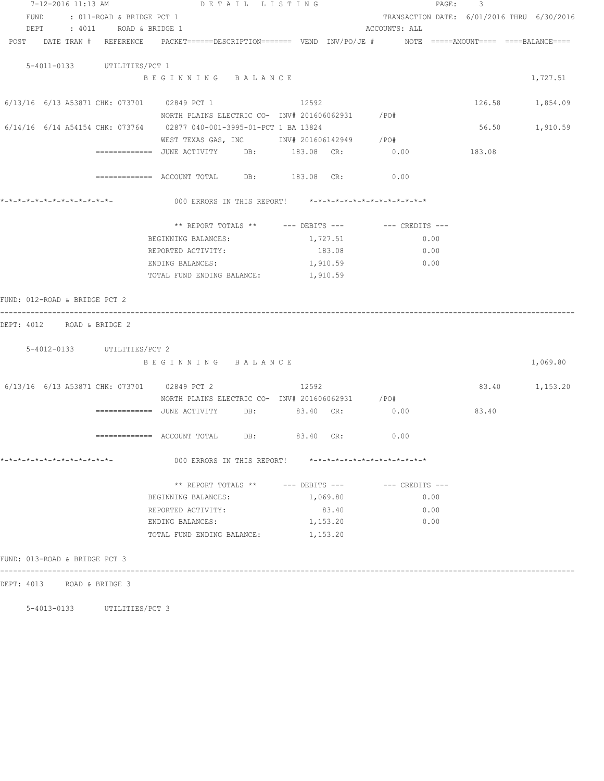|                                                                                                                 | 7-12-2016 11:13 AM DETAIL LISTING                                                                 |                                                         |                                            | PAGE: 3         |          |
|-----------------------------------------------------------------------------------------------------------------|---------------------------------------------------------------------------------------------------|---------------------------------------------------------|--------------------------------------------|-----------------|----------|
| FUND<br>: 011-ROAD & BRIDGE PCT 1                                                                               |                                                                                                   |                                                         | TRANSACTION DATE: 6/01/2016 THRU 6/30/2016 |                 |          |
| DEPT : 4011 ROAD & BRIDGE 1                                                                                     |                                                                                                   |                                                         | ACCOUNTS: ALL                              |                 |          |
| POST DATE TRAN # REFERENCE PACKET======DESCRIPTION======= VEND INV/PO/JE # NOTE =====AMOUNT==== ====BALANCE==== |                                                                                                   |                                                         |                                            |                 |          |
|                                                                                                                 |                                                                                                   |                                                         |                                            |                 |          |
| 5-4011-0133 UTILITIES/PCT 1                                                                                     |                                                                                                   |                                                         |                                            |                 |          |
|                                                                                                                 | BEGINNING BALANCE                                                                                 |                                                         |                                            |                 | 1,727.51 |
| 6/13/16 6/13 A53871 CHK: 073701 02849 PCT 1                                                                     |                                                                                                   | 12592                                                   |                                            | 126.58 1,854.09 |          |
|                                                                                                                 | NORTH PLAINS ELECTRIC CO- INV# 201606062931 / PO#                                                 |                                                         |                                            |                 |          |
| 6/14/16 6/14 A54154 CHK: 073764 02877 040-001-3995-01-PCT 1 BA 13824                                            |                                                                                                   |                                                         |                                            | 56.50           | 1,910.59 |
|                                                                                                                 | WEST TEXAS GAS, INC MOV# 201606142949 / PO#                                                       |                                                         |                                            |                 |          |
|                                                                                                                 | =============    JUNE  ACTIVITY           DB:               183.08     CR:                   0.00 |                                                         |                                            | 183.08          |          |
|                                                                                                                 | ============ ACCOUNT TOTAL DB: 183.08 CR: 0.00                                                    |                                                         |                                            |                 |          |
|                                                                                                                 |                                                                                                   |                                                         |                                            |                 |          |
| *-*-*-*-*-*-*-*-*-*-*-*-*-                                                                                      | 000 ERRORS IN THIS REPORT! *-*-*-*-*-*-*-*-*-*-*-*-*-*-                                           |                                                         |                                            |                 |          |
|                                                                                                                 |                                                                                                   |                                                         |                                            |                 |          |
|                                                                                                                 | BEGINNING BALANCES:                                                                               | ** REPORT TOTALS ** --- DEBITS --- -- CREDITS ---       |                                            |                 |          |
|                                                                                                                 | REPORTED ACTIVITY:                                                                                | 1,727.51<br>183.08                                      | 0.00<br>0.00                               |                 |          |
|                                                                                                                 | ENDING BALANCES:                                                                                  | 1,910.59                                                | 0.00                                       |                 |          |
|                                                                                                                 | TOTAL FUND ENDING BALANCE:                                                                        | 1,910.59                                                |                                            |                 |          |
|                                                                                                                 |                                                                                                   |                                                         |                                            |                 |          |
| FUND: 012-ROAD & BRIDGE PCT 2                                                                                   |                                                                                                   |                                                         |                                            |                 |          |
| DEPT: 4012 ROAD & BRIDGE 2                                                                                      |                                                                                                   |                                                         |                                            |                 |          |
|                                                                                                                 |                                                                                                   |                                                         |                                            |                 |          |
| 5-4012-0133 UTILITIES/PCT 2                                                                                     |                                                                                                   |                                                         |                                            |                 |          |
|                                                                                                                 | BEGINNING BALANCE                                                                                 |                                                         |                                            |                 | 1,069.80 |
| 6/13/16 6/13 A53871 CHK: 073701 02849 PCT 2                                                                     |                                                                                                   | 12592                                                   |                                            | 83.40 1,153.20  |          |
|                                                                                                                 | NORTH PLAINS ELECTRIC CO- INV# 201606062931 / PO#                                                 |                                                         |                                            |                 |          |
|                                                                                                                 |                                                                                                   |                                                         |                                            | 83.40           |          |
|                                                                                                                 |                                                                                                   |                                                         |                                            |                 |          |
|                                                                                                                 | ============= ACCOUNT TOTAL DB: 83.40 CR:                                                         |                                                         | 0.00                                       |                 |          |
|                                                                                                                 |                                                                                                   |                                                         |                                            |                 |          |
|                                                                                                                 |                                                                                                   | 000 ERRORS IN THIS REPORT! *-*-*-*-*-*-*-*-*-*-*-*-*-*- |                                            |                 |          |
|                                                                                                                 |                                                                                                   | ** REPORT TOTALS ** --- DEBITS --- -- -- CREDITS ---    |                                            |                 |          |
|                                                                                                                 | BEGINNING BALANCES:                                                                               | 1,069.80                                                | 0.00                                       |                 |          |
|                                                                                                                 | REPORTED ACTIVITY:                                                                                | 83.40                                                   | 0.00                                       |                 |          |
|                                                                                                                 | ENDING BALANCES:                                                                                  | 1,153.20                                                | 0.00                                       |                 |          |
|                                                                                                                 | TOTAL FUND ENDING BALANCE:                                                                        | 1,153.20                                                |                                            |                 |          |
| FUND: 013-ROAD & BRIDGE PCT 3                                                                                   |                                                                                                   |                                                         |                                            |                 |          |
|                                                                                                                 |                                                                                                   |                                                         |                                            |                 |          |
| DEPT: 4013 ROAD & BRIDGE 3                                                                                      |                                                                                                   |                                                         |                                            |                 |          |

5-4013-0133 UTILITIES/PCT 3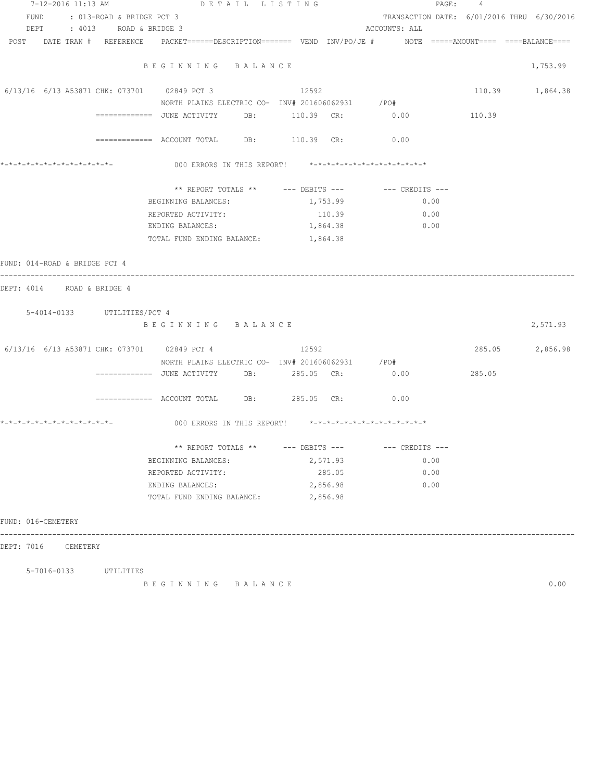| 7-12-2016 11:13 AM             | DETAIL LISTING                                                                                                 |          | PAGE :                                     | $\overline{4}$ |                 |
|--------------------------------|----------------------------------------------------------------------------------------------------------------|----------|--------------------------------------------|----------------|-----------------|
| FUND : 013-ROAD & BRIDGE PCT 3 |                                                                                                                |          | TRANSACTION DATE: 6/01/2016 THRU 6/30/2016 |                |                 |
| DEPT : 4013 ROAD & BRIDGE 3    | POST DATE TRAN # REFERENCE PACKET======DESCRIPTION======= VEND INV/PO/JE # NOTE =====AMOUNT==== ===BALANCE==== |          | ACCOUNTS: ALL                              |                |                 |
|                                |                                                                                                                |          |                                            |                |                 |
|                                | BEGINNING BALANCE                                                                                              |          |                                            |                | 1,753.99        |
|                                | 6/13/16 6/13 A53871 CHK: 073701 02849 PCT 3 12592                                                              |          |                                            |                | 110.39 1,864.38 |
|                                | NORTH PLAINS ELECTRIC CO- INV# 201606062931 / PO#                                                              |          |                                            |                |                 |
|                                | ============= JUNE ACTIVITY DB: 110.39 CR: 0.00 110.39                                                         |          |                                            |                |                 |
|                                | ============ ACCOUNT TOTAL DB: 110.39 CR: 0.00                                                                 |          |                                            |                |                 |
|                                | 000 ERRORS IN THIS REPORT! *-*-*-*-*-*-*-*-*-*-*-*-*-*-                                                        |          |                                            |                |                 |
|                                | ** REPORT TOTALS ** --- DEBITS --- -- -- CREDITS ---                                                           |          |                                            |                |                 |
|                                | BEGINNING BALANCES:                                                                                            | 1,753.99 | 0.00                                       |                |                 |
|                                | REPORTED ACTIVITY:                                                                                             | 110.39   | 0.00                                       |                |                 |
|                                | ENDING BALANCES:                                                                                               | 1,864.38 | 0.00                                       |                |                 |
|                                | TOTAL FUND ENDING BALANCE: 1,864.38                                                                            |          |                                            |                |                 |
| FUND: 014-ROAD & BRIDGE PCT 4  |                                                                                                                |          |                                            |                |                 |
| DEPT: 4014 ROAD & BRIDGE 4     |                                                                                                                |          |                                            |                |                 |
|                                |                                                                                                                |          |                                            |                |                 |
| 5-4014-0133 UTILITIES/PCT 4    |                                                                                                                |          |                                            |                |                 |
|                                | BEGINNING BALANCE                                                                                              |          |                                            |                | 2,571.93        |
|                                | 6/13/16 6/13 A53871 CHK: 073701 02849 PCT 4 12592                                                              |          |                                            |                | 285.05 2,856.98 |
|                                | NORTH PLAINS ELECTRIC CO- INV# 201606062931 / PO#                                                              |          |                                            |                |                 |
|                                |                                                                                                                |          |                                            | 285.05         |                 |
|                                |                                                                                                                |          |                                            |                |                 |
|                                | ============= ACCOUNT TOTAL DB: 285.05 CR: 0.00                                                                |          |                                            |                |                 |
|                                |                                                                                                                |          |                                            |                |                 |
|                                | ** REPORT TOTALS ** --- DEBITS --- -- -- CREDITS ---                                                           |          |                                            |                |                 |
|                                | BEGINNING BALANCES:                                                                                            | 2,571.93 | 0.00                                       |                |                 |
|                                | REPORTED ACTIVITY:                                                                                             | 285.05   | 0.00                                       |                |                 |
|                                | ENDING BALANCES:                                                                                               | 2,856.98 | 0.00                                       |                |                 |
|                                | TOTAL FUND ENDING BALANCE:                                                                                     | 2,856.98 |                                            |                |                 |
| FUND: 016-CEMETERY             |                                                                                                                |          |                                            |                |                 |
| DEPT: 7016 CEMETERY            |                                                                                                                |          |                                            |                |                 |
|                                |                                                                                                                |          |                                            |                |                 |
| 5-7016-0133 UTILITIES          |                                                                                                                |          |                                            |                |                 |
|                                | BEGINNING BALANCE                                                                                              |          |                                            |                | 0.00            |